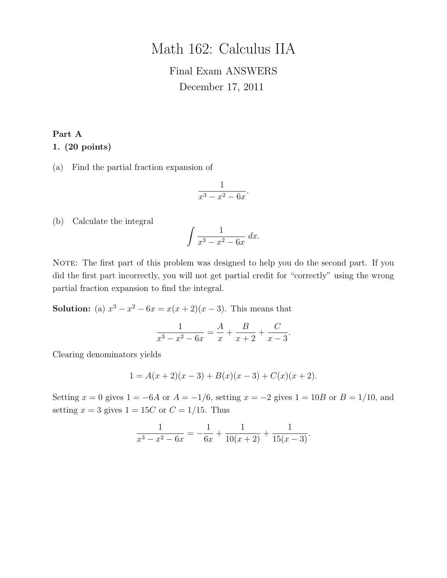# Math 162: Calculus IIA

# Final Exam ANSWERS December 17, 2011

# Part A 1. (20 points)

(a) Find the partial fraction expansion of

$$
\frac{1}{x^3 - x^2 - 6x}.
$$

(b) Calculate the integral

$$
\int \frac{1}{x^3 - x^2 - 6x} \, dx.
$$

NOTE: The first part of this problem was designed to help you do the second part. If you did the first part incorrectly, you will not get partial credit for "correctly" using the wrong partial fraction expansion to find the integral.

**Solution:** (a)  $x^3 - x^2 - 6x = x(x+2)(x-3)$ . This means that

$$
\frac{1}{x^3 - x^2 - 6x} = \frac{A}{x} + \frac{B}{x+2} + \frac{C}{x-3}.
$$

Clearing denominators yields

$$
1 = A(x+2)(x-3) + B(x)(x-3) + C(x)(x+2).
$$

Setting  $x = 0$  gives  $1 = -6A$  or  $A = -1/6$ , setting  $x = -2$  gives  $1 = 10B$  or  $B = 1/10$ , and setting  $x = 3$  gives  $1 = 15C$  or  $C = 1/15$ . Thus

$$
\frac{1}{x^3 - x^2 - 6x} = -\frac{1}{6x} + \frac{1}{10(x+2)} + \frac{1}{15(x-3)}.
$$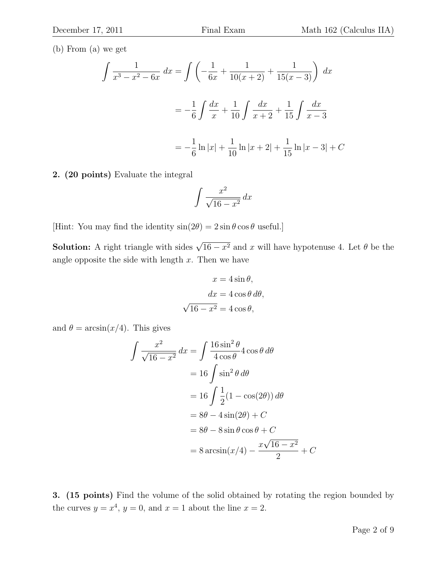(b) From (a) we get

$$
\int \frac{1}{x^3 - x^2 - 6x} dx = \int \left( -\frac{1}{6x} + \frac{1}{10(x+2)} + \frac{1}{15(x-3)} \right) dx
$$

$$
= -\frac{1}{6} \int \frac{dx}{x} + \frac{1}{10} \int \frac{dx}{x+2} + \frac{1}{15} \int \frac{dx}{x-3}
$$

$$
= -\frac{1}{6} \ln|x| + \frac{1}{10} \ln|x+2| + \frac{1}{15} \ln|x-3| + C
$$

2. (20 points) Evaluate the integral

$$
\int \frac{x^2}{\sqrt{16 - x^2}} \, dx
$$

[Hint: You may find the identity  $sin(2\theta) = 2 sin \theta cos \theta$  useful.]

**Solution:** A right triangle with sides  $\sqrt{16 - x^2}$  and x will have hypotenuse 4. Let  $\theta$  be the angle opposite the side with length  $x$ . Then we have

$$
x = 4 \sin \theta,
$$
  
\n
$$
dx = 4 \cos \theta \, d\theta,
$$
  
\n
$$
\sqrt{16 - x^2} = 4 \cos \theta,
$$

and  $\theta = \arcsin(x/4)$ . This gives

$$
\int \frac{x^2}{\sqrt{16 - x^2}} dx = \int \frac{16 \sin^2 \theta}{4 \cos \theta} 4 \cos \theta d\theta
$$

$$
= 16 \int \sin^2 \theta d\theta
$$

$$
= 16 \int \frac{1}{2} (1 - \cos(2\theta)) d\theta
$$

$$
= 8\theta - 4 \sin(2\theta) + C
$$

$$
= 8\theta - 8 \sin \theta \cos \theta + C
$$

$$
= 8 \arcsin(x/4) - \frac{x\sqrt{16 - x^2}}{2} + C
$$

3. (15 points) Find the volume of the solid obtained by rotating the region bounded by the curves  $y = x^4$ ,  $y = 0$ , and  $x = 1$  about the line  $x = 2$ .

 $\overline{C}$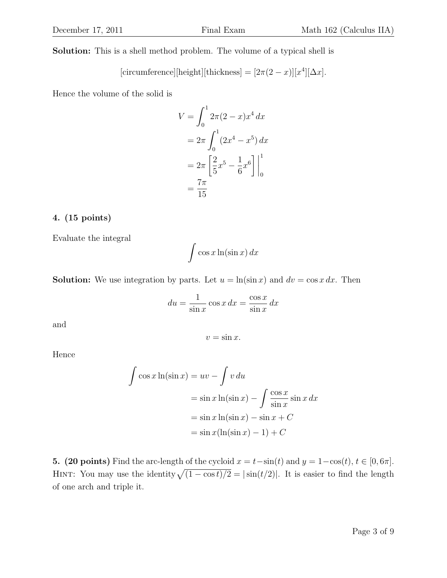Solution: This is a shell method problem. The volume of a typical shell is

[circumference][height][thickness] = 
$$
[2\pi(2-x)][x^4][\Delta x]
$$
.

Hence the volume of the solid is

$$
V = \int_0^1 2\pi (2 - x) x^4 dx
$$
  
=  $2\pi \int_0^1 (2x^4 - x^5) dx$   
=  $2\pi \left[ \frac{2}{5} x^5 - \frac{1}{6} x^6 \right]_0^1$   
=  $\frac{7\pi}{15}$ 

### 4. (15 points)

Evaluate the integral

$$
\int \cos x \ln(\sin x) \, dx
$$

**Solution:** We use integration by parts. Let  $u = \ln(\sin x)$  and  $dv = \cos x \, dx$ . Then

$$
du = \frac{1}{\sin x} \cos x \, dx = \frac{\cos x}{\sin x} \, dx
$$

 $v = \sin x$ .

and

Hence

$$
\int \cos x \ln(\sin x) = uv - \int v \, du
$$
  
=  $\sin x \ln(\sin x) - \int \frac{\cos x}{\sin x} \sin x \, dx$   
=  $\sin x \ln(\sin x) - \sin x + C$   
=  $\sin x (\ln(\sin x) - 1) + C$ 

5. (20 points) Find the arc-length of the cycloid  $x = t-\sin(t)$  and  $y = 1-\cos(t)$ ,  $t \in [0, 6\pi]$ . HINT: You may use the identity  $\sqrt{(1 - \cos t)/2} = |\sin(t/2)|$ . It is easier to find the length of one arch and triple it.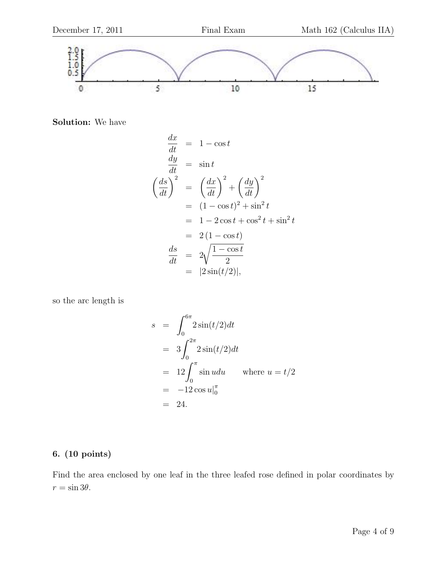

Solution: We have

$$
\begin{aligned}\n\frac{dx}{dt} &= 1 - \cos t \\
\frac{dy}{dt} &= \sin t \\
\left(\frac{ds}{dt}\right)^2 &= \left(\frac{dx}{dt}\right)^2 + \left(\frac{dy}{dt}\right)^2 \\
&= (1 - \cos t)^2 + \sin^2 t \\
&= 1 - 2\cos t + \cos^2 t + \sin^2 t \\
&= 2(1 - \cos t) \\
\frac{ds}{dt} &= 2\sqrt{\frac{1 - \cos t}{2}} \\
&= |2\sin(t/2)|,\n\end{aligned}
$$

so the arc length is

$$
s = \int_0^{6\pi} 2\sin(t/2)dt
$$
  
=  $3\int_0^{2\pi} 2\sin(t/2)dt$   
=  $12\int_0^{\pi} \sin udu$  where  $u = t/2$   
=  $-12\cos u|_0^{\pi}$   
= 24.

## 6. (10 points)

Find the area enclosed by one leaf in the three leafed rose defined in polar coordinates by  $r = \sin 3\theta$ .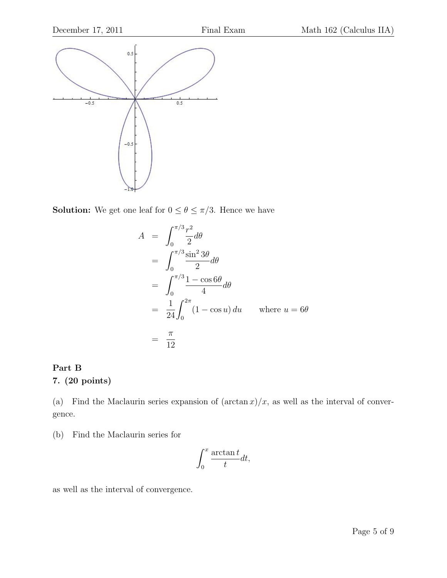

**Solution:** We get one leaf for  $0 \le \theta \le \pi/3$ . Hence we have

$$
A = \int_0^{\pi/3} \frac{r^2}{2} d\theta
$$
  
= 
$$
\int_0^{\pi/3} \frac{\sin^2 3\theta}{2} d\theta
$$
  
= 
$$
\int_0^{\pi/3} \frac{1 - \cos 6\theta}{4} d\theta
$$
  
= 
$$
\frac{1}{24} \int_0^{2\pi} (1 - \cos u) du
$$
 where  $u = 6\theta$   
= 
$$
\frac{\pi}{12}
$$

# Part B

# 7. (20 points)

(a) Find the Maclaurin series expansion of  $(\arctan x)/x$ , as well as the interval of convergence.

(b) Find the Maclaurin series for

$$
\int_0^x \frac{\arctan t}{t} dt,
$$

as well as the interval of convergence.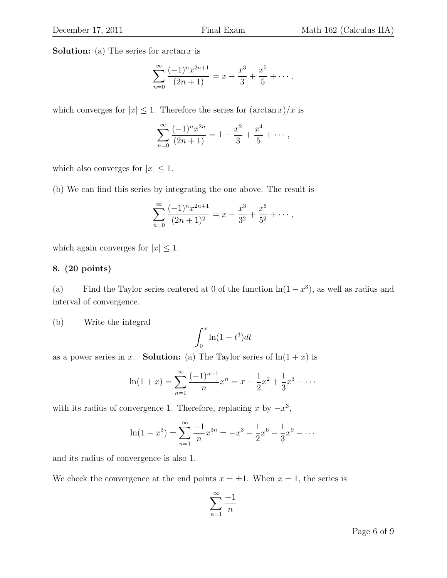**Solution:** (a) The series for  $\arctan x$  is

$$
\sum_{n=0}^{\infty} \frac{(-1)^n x^{2n+1}}{(2n+1)} = x - \frac{x^3}{3} + \frac{x^5}{5} + \cdots,
$$

which converges for  $|x| \leq 1$ . Therefore the series for  $(\arctan x)/x$  is

$$
\sum_{n=0}^{\infty} \frac{(-1)^n x^{2n}}{(2n+1)} = 1 - \frac{x^2}{3} + \frac{x^4}{5} + \cdots,
$$

which also converges for  $|x| \leq 1$ .

(b) We can find this series by integrating the one above. The result is

$$
\sum_{n=0}^{\infty} \frac{(-1)^n x^{2n+1}}{(2n+1)^2} = x - \frac{x^3}{3^2} + \frac{x^5}{5^2} + \cdots,
$$

which again converges for  $|x| \leq 1$ .

### 8. (20 points)

(a) Find the Taylor series centered at 0 of the function  $\ln(1-x^3)$ , as well as radius and interval of convergence.

(b) Write the integral

$$
\int_0^x \ln(1 - t^3) dt
$$

as a power series in x. **Solution:** (a) The Taylor series of  $ln(1 + x)$  is

$$
\ln(1+x) = \sum_{n=1}^{\infty} \frac{(-1)^{n+1}}{n} x^n = x - \frac{1}{2}x^2 + \frac{1}{3}x^3 - \dots
$$

with its radius of convergence 1. Therefore, replacing x by  $-x^3$ ,

$$
\ln(1 - x^3) = \sum_{n=1}^{\infty} \frac{-1}{n} x^{3n} = -x^3 - \frac{1}{2}x^6 - \frac{1}{3}x^9 - \dots
$$

and its radius of convergence is also 1.

We check the convergence at the end points  $x = \pm 1$ . When  $x = 1$ , the series is

$$
\sum_{n=1}^{\infty} \frac{-1}{n}
$$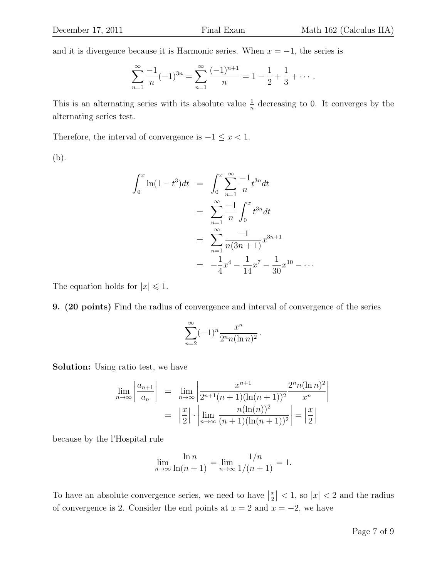and it is divergence because it is Harmonic series. When  $x = -1$ , the series is

$$
\sum_{n=1}^{\infty} \frac{-1}{n} (-1)^{3n} = \sum_{n=1}^{\infty} \frac{(-1)^{n+1}}{n} = 1 - \frac{1}{2} + \frac{1}{3} + \cdots
$$

This is an alternating series with its absolute value  $\frac{1}{n}$  decreasing to 0. It converges by the alternating series test.

Therefore, the interval of convergence is  $-1 \le x < 1$ .

(b).

$$
\int_0^x \ln(1 - t^3) dt = \int_0^x \sum_{n=1}^\infty \frac{-1}{n} t^{3n} dt
$$
  
= 
$$
\sum_{n=1}^\infty \frac{-1}{n} \int_0^x t^{3n} dt
$$
  
= 
$$
\sum_{n=1}^\infty \frac{-1}{n(3n+1)} x^{3n+1}
$$
  
= 
$$
-\frac{1}{4} x^4 - \frac{1}{14} x^7 - \frac{1}{30} x^{10} - \dots
$$

The equation holds for  $|x| \leq 1$ .

9. (20 points) Find the radius of convergence and interval of convergence of the series

$$
\sum_{n=2}^{\infty} (-1)^n \frac{x^n}{2^n n (\ln n)^2}.
$$

Solution: Using ratio test, we have

$$
\lim_{n \to \infty} \left| \frac{a_{n+1}}{a_n} \right| = \lim_{n \to \infty} \left| \frac{x^{n+1}}{2^{n+1}(n+1)(\ln(n+1))^2} \frac{2^n n (\ln n)^2}{x^n} \right|
$$

$$
= \left| \frac{x}{2} \right| \cdot \left| \lim_{n \to \infty} \frac{n (\ln(n))^2}{(n+1)(\ln(n+1))^2} \right| = \left| \frac{x}{2} \right|
$$

because by the l'Hospital rule

$$
\lim_{n \to \infty} \frac{\ln n}{\ln(n+1)} = \lim_{n \to \infty} \frac{1/n}{1/(n+1)} = 1.
$$

To have an absolute convergence series, we need to have  $\left|\frac{x}{2}\right| < 1$ , so  $|x| < 2$  and the radius of convergence is 2. Consider the end points at  $x = 2$  and  $x = -2$ , we have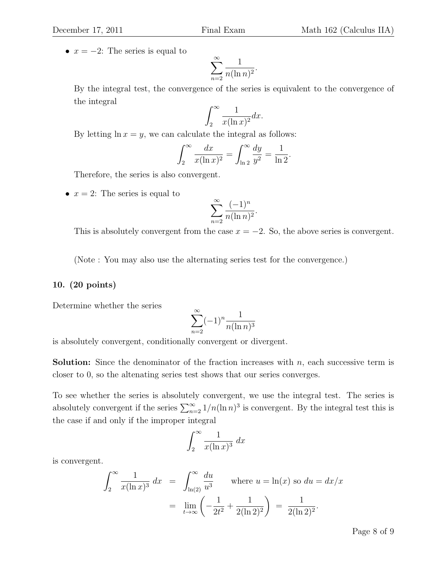•  $x = -2$ : The series is equal to

$$
\sum_{n=2}^{\infty} \frac{1}{n(\ln n)^2}.
$$

By the integral test, the convergence of the series is equivalent to the convergence of the integral

$$
\int_2^\infty \frac{1}{x(\ln x)^2} dx.
$$

By letting  $\ln x = y$ , we can calculate the integral as follows:

$$
\int_{2}^{\infty} \frac{dx}{x(\ln x)^{2}} = \int_{\ln 2}^{\infty} \frac{dy}{y^{2}} = \frac{1}{\ln 2}.
$$

Therefore, the series is also convergent.

•  $x = 2$ : The series is equal to

$$
\sum_{n=2}^{\infty} \frac{(-1)^n}{n(\ln n)^2}.
$$

This is absolutely convergent from the case  $x = -2$ . So, the above series is convergent.

(Note : You may also use the alternating series test for the convergence.)

#### 10. (20 points)

Determine whether the series

$$
\sum_{n=2}^{\infty} (-1)^n \frac{1}{n(\ln n)^3}
$$

is absolutely convergent, conditionally convergent or divergent.

**Solution:** Since the denominator of the fraction increases with  $n$ , each successive term is closer to 0, so the altenating series test shows that our series converges.

To see whether the series is absolutely convergent, we use the integral test. The series is absolutely convergent if the series  $\sum_{n=2}^{\infty} 1/n(\ln n)^3$  is convergent. By the integral test this is the case if and only if the improper integral

$$
\int_2^\infty \frac{1}{x(\ln x)^3} \, dx
$$

is convergent.

$$
\int_2^{\infty} \frac{1}{x(\ln x)^3} dx = \int_{\ln(2)}^{\infty} \frac{du}{u^3} \quad \text{where } u = \ln(x) \text{ so } du = dx/x
$$

$$
= \lim_{t \to \infty} \left( -\frac{1}{2t^2} + \frac{1}{2(\ln 2)^2} \right) = \frac{1}{2(\ln 2)^2}.
$$